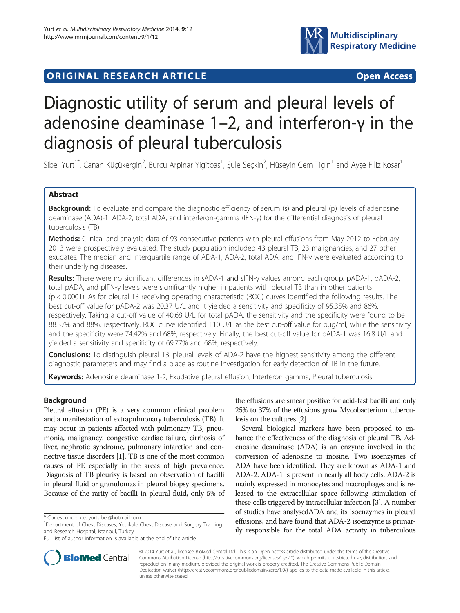# ORIGINAL RESEARCH ARTICLE **External in the Second Access**



# Diagnostic utility of serum and pleural levels of adenosine deaminase 1–2, and interferon-γ in the diagnosis of pleural tuberculosis

Sibel Yurt<sup>1\*</sup>, Canan Küçükergin<sup>2</sup>, Burcu Arpinar Yigitbas<sup>1</sup>, Şule Seçkin<sup>2</sup>, Hüseyin Cem Tigin<sup>1</sup> and Ayşe Filiz Koşar<sup>1</sup>

# Abstract

**Background:** To evaluate and compare the diagnostic efficiency of serum (s) and pleural (p) levels of adenosine deaminase (ADA)-1, ADA-2, total ADA, and interferon-gamma (IFN-γ) for the differential diagnosis of pleural tuberculosis (TB).

Methods: Clinical and analytic data of 93 consecutive patients with pleural effusions from May 2012 to February 2013 were prospectively evaluated. The study population included 43 pleural TB, 23 malignancies, and 27 other exudates. The median and interquartile range of ADA-1, ADA-2, total ADA, and IFN-γ were evaluated according to their underlying diseases.

Results: There were no significant differences in sADA-1 and sIFN-γ values among each group. pADA-1, pADA-2, total pADA, and pIFN-γ levels were significantly higher in patients with pleural TB than in other patients (p < 0.0001). As for pleural TB receiving operating characteristic (ROC) curves identified the following results. The best cut-off value for pADA-2 was 20.37 U/L and it yielded a sensitivity and specificity of 95.35% and 86%, respectively. Taking a cut-off value of 40.68 U/L for total pADA, the sensitivity and the specificity were found to be 88.37% and 88%, respectively. ROC curve identified 110 U/L as the best cut-off value for pμg/ml, while the sensitivity and the specificity were 74.42% and 68%, respectively. Finally, the best cut-off value for pADA-1 was 16.8 U/L and yielded a sensitivity and specificity of 69.77% and 68%, respectively.

**Conclusions:** To distinguish pleural TB, pleural levels of ADA-2 have the highest sensitivity among the different diagnostic parameters and may find a place as routine investigation for early detection of TB in the future.

Keywords: Adenosine deaminase 1-2, Exudative pleural effusion, Interferon gamma, Pleural tuberculosis

# Background

Pleural effusion (PE) is a very common clinical problem and a manifestation of extrapulmonary tuberculosis (TB). It may occur in patients affected with pulmonary TB, pneumonia, malignancy, congestive cardiac failure, cirrhosis of liver, nephrotic syndrome, pulmonary infarction and connective tissue disorders [[1](#page-6-0)]. TB is one of the most common causes of PE especially in the areas of high prevalence. Diagnosis of TB pleurisy is based on observation of bacilli in pleural fluid or granulomas in pleural biopsy specimens. Because of the rarity of bacilli in pleural fluid, only 5% of

the effusions are smear positive for acid-fast bacilli and only 25% to 37% of the effusions grow Mycobacterium tuberculosis on the cultures [\[2\]](#page-6-0).

Several biological markers have been proposed to enhance the effectiveness of the diagnosis of pleural TB. Adenosine deaminase (ADA) is an enzyme involved in the conversion of adenosine to inosine. Two isoenzymes of ADA have been identified. They are known as ADA-1 and ADA-2. ADA-1 is present in nearly all body cells. ADA-2 is mainly expressed in monocytes and macrophages and is released to the extracellular space following stimulation of these cells triggered by intracellular infection [[3](#page-6-0)]. A number of studies have analysedADA and its isoenzymes in pleural effusions, and have found that ADA-2 isoenzyme is primarily responsible for the total ADA activity in tuberculous



© 2014 Yurt et al.; licensee BioMed Central Ltd. This is an Open Access article distributed under the terms of the Creative Commons Attribution License [\(http://creativecommons.org/licenses/by/2.0\)](http://creativecommons.org/licenses/by/2.0), which permits unrestricted use, distribution, and reproduction in any medium, provided the original work is properly credited. The Creative Commons Public Domain Dedication waiver [\(http://creativecommons.org/publicdomain/zero/1.0/](http://creativecommons.org/publicdomain/zero/1.0/)) applies to the data made available in this article, unless otherwise stated.

<sup>\*</sup> Correspondence: [yurtsibel@hotmail.com](mailto:yurtsibel@hotmail.com) <sup>1</sup>

<sup>&</sup>lt;sup>1</sup>Department of Chest Diseases, Yedikule Chest Disease and Surgery Training and Research Hospital, Istanbul, Turkey

Full list of author information is available at the end of the article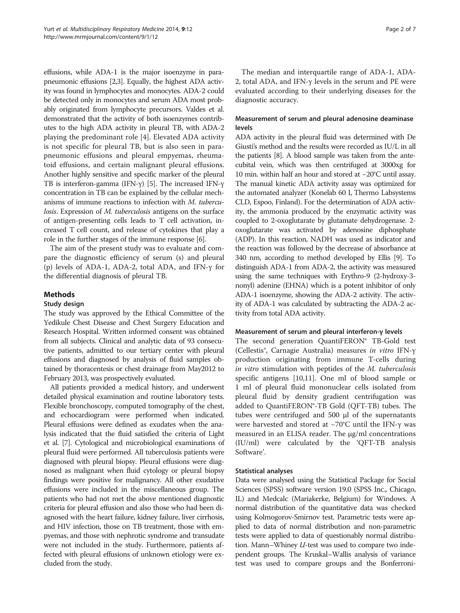effusions, while ADA-1 is the major isoenzyme in parapneumonic effusions [\[2,3](#page-6-0)]. Equally, the highest ADA activity was found in lymphocytes and monocytes. ADA-2 could be detected only in monocytes and serum ADA most probably originated from lymphocyte precursors. Valdes et al. demonstrated that the activity of both isoenzymes contributes to the high ADA activity in pleural TB, with ADA-2 playing the predominant role [[4\]](#page-6-0). Elevated ADA activity is not specific for pleural TB, but is also seen in parapneumonic effusions and pleural empyemas, rheumatoid effusions, and certain malignant pleural effusions. Another highly sensitive and specific marker of the pleural TB is interferon-gamma (IFN-γ) [[5](#page-6-0)]. The increased IFN-γ concentration in TB can be explained by the cellular mechanisms of immune reactions to infection with M. tuberculosis. Expression of M. tuberculosis antigens on the surface of antigen-presenting cells leads to T cell activation, increased T cell count, and release of cytokines that play a role in the further stages of the immune response [\[6](#page-6-0)].

The aim of the present study was to evaluate and compare the diagnostic efficiency of serum (s) and pleural (p) levels of ADA-1, ADA-2, total ADA, and IFN- $\gamma$  for the differential diagnosis of pleural TB.

# Methods

#### Study design

The study was approved by the Ethical Committee of the Yedikule Chest Disease and Chest Surgery Education and Research Hospital. Written informed consent was obtained from all subjects. Clinical and analytic data of 93 consecutive patients, admitted to our tertiary center with pleural effusions and diagnosed by analysis of fluid samples obtained by thoracentesis or chest drainage from May2012 to February 2013, was prospectively evaluated.

All patients provided a medical history, and underwent detailed physical examination and routine laboratory tests. Flexible bronchoscopy, computed tomography of the chest, and echocardiogram were performed when indicated. Pleural effusions were defined as exudates when the analysis indicated that the fluid satisfied the criteria of Light et al. [\[7](#page-6-0)]. Cytological and microbiological examinations of pleural fluid were performed. All tuberculosis patients were diagnosed with pleural biopsy. Pleural effusions were diagnosed as malignant when fluid cytology or pleural biopsy findings were positive for malignancy. All other exudative effusions were included in the miscellaneous group. The patients who had not met the above mentioned diagnostic criteria for pleural effusion and also those who had been diagnosed with the heart failure, kidney failure, liver cirrhosis, and HIV infection, those on TB treatment, those with empyemas, and those with nephrotic syndrome and transudate were not included in the study. Furthermore, patients affected with pleural effusions of unknown etiology were excluded from the study.

The median and interquartile range of ADA-1, ADA-2, total ADA, and IFN-γ levels in the serum and PE were evaluated according to their underlying diseases for the diagnostic accuracy.

# Measurement of serum and pleural adenosine deaminase levels

ADA activity in the pleural fluid was determined with De Giusti's method and the results were recorded as IU/L in all the patients [[8](#page-6-0)]. A blood sample was taken from the antecubital vein, which was then centrifuged at 3000xg for 10 min. within half an hour and stored at −20°C until assay. The manual kinetic ADA activity assay was optimized for the automated analyzer (Konelab 60 I, Thermo Labsystems CLD, Espoo, Finland). For the determination of ADA activity, the ammonia produced by the enzymatic activity was coupled to 2-oxoglutarate by glutamate dehydrogenase. 2 oxoglutarate was activated by adenosine diphosphate (ADP). In this reaction, NADH was used as indicator and the reaction was followed by the decrease of absorbance at 340 nm, according to method developed by Ellis [\[9\]](#page-6-0). To distinguish ADA-1 from ADA-2, the activity was measured using the same techniques with Erythro-9 (2-hydroxy-3 nonyl) adenine (EHNA) which is a potent inhibitor of only ADA-1 isoenzyme, showing the ADA-2 activity. The activity of ADA-1 was calculated by subtracting the ADA-2 activity from total ADA activity.

#### Measurement of serum and pleural interferon-γ levels

The second generation QuantiFERON® TB-Gold test (Cellestis®, Carnagie Australia) measures in vitro IFN-γ production originating from immune T-cells during in vitro stimulation with peptides of the M. tuberculosis specific antigens [[10](#page-6-0),[11](#page-6-0)]. One ml of blood sample or 1 ml of pleural fluid mononuclear cells isolated from pleural fluid by density gradient centrifugation was added to QuantiFERON®-TB Gold (QFT-TB) tubes. The tubes were centrifuged and 500 μl of the supernatants were harvested and stored at −70°C until the IFN-γ was measured in an ELISA reader. The μg/ml concentrations (IU/ml) were calculated by the 'QFT-TB analysis Software'.

#### Statistical analyses

Data were analysed using the Statistical Package for Social Sciences (SPSS) software version 19.0 (SPSS Inc., Chicago, IL) and Medcalc (Mariakerke, Belgium) for Windows. A normal distribution of the quantitative data was checked using Kolmogorov-Smirnov test. Parametric tests were applied to data of normal distribution and non-parametric tests were applied to data of questionably normal distribution. Mann–Whiney U-test was used to compare two independent groups. The Kruskal–Wallis analysis of variance test was used to compare groups and the Bonferroni-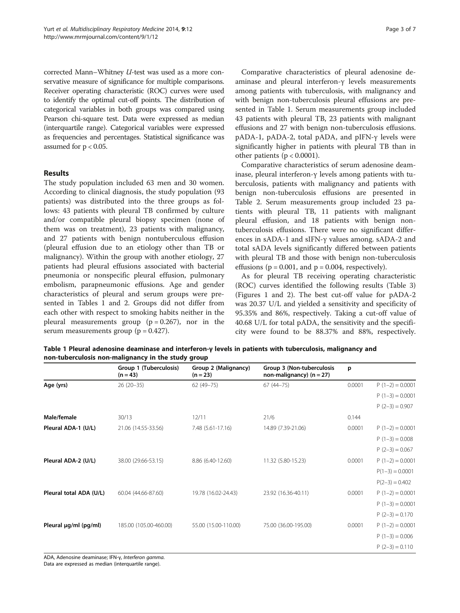<span id="page-2-0"></span>corrected Mann–Whitney U-test was used as a more conservative measure of significance for multiple comparisons. Receiver operating characteristic (ROC) curves were used to identify the optimal cut-off points. The distribution of categorical variables in both groups was compared using Pearson chi-square test. Data were expressed as median (interquartile range). Categorical variables were expressed as frequencies and percentages. Statistical significance was assumed for  $p < 0.05$ .

## Results

The study population included 63 men and 30 women. According to clinical diagnosis, the study population (93 patients) was distributed into the three groups as follows: 43 patients with pleural TB confirmed by culture and/or compatible pleural biopsy specimen (none of them was on treatment), 23 patients with malignancy, and 27 patients with benign nontuberculous effusion (pleural effusion due to an etiology other than TB or malignancy). Within the group with another etiology, 27 patients had pleural effusions associated with bacterial pneumonia or nonspecific pleural effusion, pulmonary embolism, parapneumonic effusions. Age and gender characteristics of pleural and serum groups were presented in Tables 1 and [2.](#page-3-0) Groups did not differ from each other with respect to smoking habits neither in the pleural measurements group  $(p = 0.267)$ , nor in the serum measurements group ( $p = 0.427$ ).

Comparative characteristics of pleural adenosine deaminase and pleural interferon-γ levels measurements among patients with tuberculosis, with malignancy and with benign non-tuberculosis pleural effusions are presented in Table 1. Serum measurements group included 43 patients with pleural TB, 23 patients with malignant effusions and 27 with benign non-tuberculosis effusions. pADA-1, pADA-2, total pADA, and pIFN-γ levels were significantly higher in patients with pleural TB than in other patients ( $p < 0.0001$ ).

Comparative characteristics of serum adenosine deaminase, pleural interferon-γ levels among patients with tuberculosis, patients with malignancy and patients with benign non-tuberculosis effusions are presented in Table [2.](#page-3-0) Serum measurements group included 23 patients with pleural TB, 11 patients with malignant pleural effusion, and 18 patients with benign nontuberculosis effusions. There were no significant differences in sADA-1 and sIFN-γ values among. sADA-2 and total sADA levels significantly differed between patients with pleural TB and those with benign non-tuberculosis effusions ( $p = 0.001$ , and  $p = 0.004$ , respectively).

As for pleural TB receiving operating characteristic (ROC) curves identified the following results (Table [3](#page-3-0)) (Figures [1](#page-4-0) and [2\)](#page-5-0). The best cut-off value for pADA-2 was 20.37 U/L and yielded a sensitivity and specificity of 95.35% and 86%, respectively. Taking a cut-off value of 40.68 U/L for total pADA, the sensitivity and the specificity were found to be 88.37% and 88%, respectively.

|                         | Group 1 (Tuberculosis)<br>$(n = 43)$ | Group 2 (Malignancy)<br>$(n = 23)$ | Group 3 (Non-tuberculosis<br>non-malignancy) $(n = 27)$ | p      |                   |
|-------------------------|--------------------------------------|------------------------------------|---------------------------------------------------------|--------|-------------------|
| Age (yrs)               | $26(20-35)$                          | $62(49 - 75)$                      | $67(44 - 75)$                                           | 0.0001 | $P(1-2) = 0.0001$ |
|                         |                                      |                                    |                                                         |        | $P(1-3) = 0.0001$ |
|                         |                                      |                                    |                                                         |        | $P(2-3) = 0.907$  |
| Male/female             | 30/13                                | 12/11                              | 21/6                                                    | 0.144  |                   |
| Pleural ADA-1 (U/L)     | 21.06 (14.55-33.56)                  | 7.48 (5.61-17.16)                  | 14.89 (7.39-21.06)                                      | 0.0001 | $P(1-2) = 0.0001$ |
|                         |                                      |                                    |                                                         |        | $P(1-3) = 0.008$  |
|                         |                                      |                                    |                                                         |        | $P(2-3) = 0.067$  |
| Pleural ADA-2 (U/L)     | 38.00 (29.66-53.15)                  | 8.86 (6.40-12.60)                  | 11.32 (5.80-15.23)                                      | 0.0001 | $P(1-2) = 0.0001$ |
|                         |                                      |                                    |                                                         |        | $P(1-3) = 0.0001$ |
|                         |                                      |                                    |                                                         |        | $P(2-3) = 0.402$  |
| Pleural total ADA (U/L) | 60.04 (44.66-87.60)                  | 19.78 (16.02-24.43)                | 23.92 (16.36-40.11)                                     | 0.0001 | $P(1-2) = 0.0001$ |
|                         |                                      |                                    |                                                         |        | $P(1-3) = 0.0001$ |
|                         |                                      |                                    |                                                         |        | $P(2-3) = 0.170$  |
| Pleural µg/ml (pg/ml)   | 185.00 (105.00-460.00)               | 55.00 (15.00-110.00)               | 75.00 (36.00-195.00)                                    | 0.0001 | $P(1-2) = 0.0001$ |
|                         |                                      |                                    |                                                         |        | $P(1-3) = 0.006$  |
|                         |                                      |                                    |                                                         |        | $P(2-3) = 0.110$  |

Table 1 Pleural adenosine deaminase and interferon-γ levels in patients with tuberculosis, malignancy and non-tuberculosis non-malignancy in the study group

ADA, Adenosine deaminase; IFN-γ, Interferon gamma.

Data are expressed as median (interquartile range).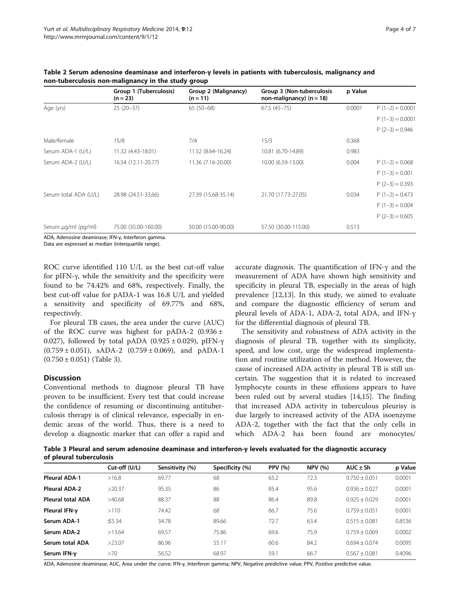|                       | Group 1 (Tuberculosis)<br>$(n = 23)$ | Group 2 (Malignancy)<br>$(n = 11)$ | Group 3 (Non-tuberculosis<br>non-malignancy) $(n = 18)$ | p Value |                   |
|-----------------------|--------------------------------------|------------------------------------|---------------------------------------------------------|---------|-------------------|
| Age (yrs)             | $25(20-37)$                          | $65(50-68)$                        | $67.5(45-75)$                                           | 0.0001  | $P(1-2) = 0.0001$ |
|                       |                                      |                                    |                                                         |         | $P(1-3) = 0.0001$ |
|                       |                                      |                                    |                                                         |         | $P(2-3) = 0.946$  |
| Male/female           | 15/8                                 | 7/4                                | 15/3                                                    | 0.368   |                   |
| Serum ADA-1 (U/L)     | 11.32 (4.43-18.01)                   | 11.52 (8.64-16.24)                 | 10.81 (6.70-14.89)                                      | 0.983   |                   |
| Serum ADA-2 (U/L)     | 16.54 (12.11-20.77)                  | 11.36 (7.16-20.00)                 | 10.00 (6.59-13.00)                                      | 0.004   | $P(1-2) = 0.068$  |
|                       |                                      |                                    |                                                         |         | $P(1-3) = 0.001$  |
|                       |                                      |                                    |                                                         |         | $P(2-3) = 0.393$  |
| Serum total ADA (U/L) | 28.98 (24.51-33.66)                  | 27.39 (15.68-35.14)                | 21.70 (17.73-27.05)                                     | 0.034   | $P(1-2) = 0.473$  |
|                       |                                      |                                    |                                                         |         | $P(1-3) = 0.004$  |
|                       |                                      |                                    |                                                         |         | $P(2-3) = 0.605$  |
| Serum µg/ml (pg/ml)   | 75.00 (35.00-160.00)                 | 50.00 (15.00-90.00)                | 57.50 (30.00-115.00)                                    | 0.513   |                   |

<span id="page-3-0"></span>Table 2 Serum adenosine deaminase and interferon-γ levels in patients with tuberculosis, malignancy and non-tuberculosis non-malignancy in the study group

ADA, Adenosine deaminase; IFN-γ, Interferon gamma.

Data are expressed as median (interquartile range).

ROC curve identified 110 U/L as the best cut-off value for pIFN-γ, while the sensitivity and the specificity were found to be 74.42% and 68%, respectively. Finally, the best cut-off value for pADA-1 was 16.8 U/L and yielded a sensitivity and specificity of 69.77% and 68%, respectively.

For pleural TB cases, the area under the curve (AUC) of the ROC curve was highest for pADA-2  $(0.936 \pm$ 0.027), followed by total pADA  $(0.925 \pm 0.029)$ , pIFN- $\gamma$  $(0.759 \pm 0.051)$ , sADA-2  $(0.759 \pm 0.069)$ , and pADA-1  $(0.750 \pm 0.051)$  (Table 3).

#### **Discussion**

Conventional methods to diagnose pleural TB have proven to be insufficient. Every test that could increase the confidence of resuming or discontinuing antituberculosis therapy is of clinical relevance, especially in endemic areas of the world. Thus, there is a need to develop a diagnostic marker that can offer a rapid and accurate diagnosis. The quantification of IFN-γ and the measurement of ADA have shown high sensitivity and specificity in pleural TB, especially in the areas of high prevalence [[12,13\]](#page-6-0). In this study, we aimed to evaluate and compare the diagnostic efficiency of serum and pleural levels of ADA-1, ADA-2, total ADA, and IFN-γ for the differential diagnosis of pleural TB.

The sensitivity and robustness of ADA activity in the diagnosis of pleural TB, together with its simplicity, speed, and low cost, urge the widespread implementation and routine utilization of the method. However, the cause of increased ADA activity in pleural TB is still uncertain. The suggestion that it is related to increased lymphocyte counts in these effusions appears to have been ruled out by several studies [[14,15\]](#page-6-0). The finding that increased ADA activity in tuberculous pleurisy is due largely to increased activity of the ADA isoenzyme ADA-2, together with the fact that the only cells in which ADA-2 has been found are monocytes/

Table 3 Pleural and serum adenosine deaminase and interferon-γ levels evaluated for the diagnostic accuracy of pleural tuberculosis

|                          | Cut-off (U/L) | Sensitivity (%) | Specificity (%) | <b>PPV</b> (%) | <b>NPV</b> (%) | $AUC \pm Sh$    | p Value |
|--------------------------|---------------|-----------------|-----------------|----------------|----------------|-----------------|---------|
| <b>Pleural ADA-1</b>     | >16.8         | 69.77           | 68              | 65.2           | 72.3           | $0.750 + 0.051$ | 0.0001  |
| <b>Pleural ADA-2</b>     | >20.37        | 95.35           | 86              | 85.4           | 95.6           | $0.936 + 0.027$ | 0.0001  |
| <b>Pleural total ADA</b> | >40.68        | 88.37           | 88              | 86.4           | 89.8           | $0.925 + 0.029$ | 0.0001  |
| Pleural IFN-y            | >110          | 74.42           | 68              | 66.7           | 75.6           | $0.759 + 0.051$ | 0.0001  |
| Serum ADA-1              | 5.34          | 34.78           | 89.66           | 72.7           | 63.4           | $0.515 + 0.081$ | 0.8536  |
| Serum ADA-2              | >13.64        | 69.57           | 75.86           | 69.6           | 75.9           | $0.759 + 0.069$ | 0.0002  |
| Serum total ADA          | >23.07        | 86.96           | 55.17           | 60.6           | 84.2           | $0.694 + 0.074$ | 0.0095  |
| Serum IFN-v              | >70           | 56.52           | 68.97           | 59.1           | 66.7           | $0.567 + 0.081$ | 0.4096  |

ADA, Adenosine deaminase; AUC, Area under the curve; IFN-γ, Interferon gamma; NPV, Negative predictive value; PPV, Positive predictive value.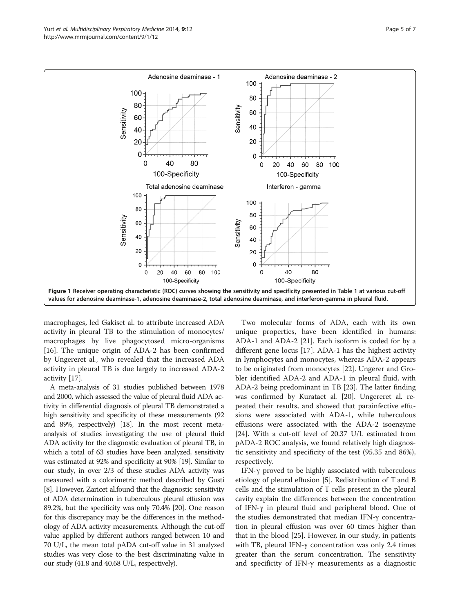<span id="page-4-0"></span>

macrophages, led Gakiset al. to attribute increased ADA activity in pleural TB to the stimulation of monocytes/ macrophages by live phagocytosed micro-organisms [[16\]](#page-6-0). The unique origin of ADA-2 has been confirmed by Ungereret al., who revealed that the increased ADA activity in pleural TB is due largely to increased ADA-2 activity [[17\]](#page-6-0).

A meta-analysis of 31 studies published between 1978 and 2000, which assessed the value of pleural fluid ADA activity in differential diagnosis of pleural TB demonstrated a high sensitivity and specificity of these measurements (92 and 89%, respectively) [[18\]](#page-6-0). In the most recent metaanalysis of studies investigating the use of pleural fluid ADA activity for the diagnostic evaluation of pleural TB, in which a total of 63 studies have been analyzed, sensitivity was estimated at 92% and specificity at 90% [[19](#page-6-0)]. Similar to our study, in over 2/3 of these studies ADA activity was measured with a colorimetric method described by Gusti [[8](#page-6-0)]. However, Zaricet al.found that the diagnostic sensitivity of ADA determination in tuberculous pleural effusion was 89.2%, but the specificity was only 70.4% [\[20\]](#page-6-0). One reason for this discrepancy may be the differences in the methodology of ADA activity measurements. Although the cut-off value applied by different authors ranged between 10 and 70 U/L, the mean total pADA cut-off value in 31 analyzed studies was very close to the best discriminating value in our study (41.8 and 40.68 U/L, respectively).

Two molecular forms of ADA, each with its own unique properties, have been identified in humans: ADA-1 and ADA-2 [\[21\]](#page-6-0). Each isoform is coded for by a different gene locus [\[17](#page-6-0)]. ADA-1 has the highest activity in lymphocytes and monocytes, whereas ADA-2 appears to be originated from monocytes [\[22\]](#page-6-0). Ungerer and Grobler identified ADA-2 and ADA-1 in pleural fluid, with ADA-2 being predominant in TB [[23\]](#page-6-0). The latter finding was confirmed by Kurataet al. [\[20](#page-6-0)]. Ungereret al. repeated their results, and showed that parainfective effusions were associated with ADA-1, while tuberculous effusions were associated with the ADA-2 isoenzyme [[24\]](#page-6-0). With a cut-off level of 20.37 U/L estimated from pADA-2 ROC analysis, we found relatively high diagnostic sensitivity and specificity of the test (95.35 and 86%), respectively.

IFN- $\gamma$  proved to be highly associated with tuberculous etiology of pleural effusion [[5](#page-6-0)]. Redistribution of T and B cells and the stimulation of T cells present in the pleural cavity explain the differences between the concentration of IFN-γ in pleural fluid and peripheral blood. One of the studies demonstrated that median IFN-γ concentration in pleural effusion was over 60 times higher than that in the blood [\[25](#page-6-0)]. However, in our study, in patients with TB, pleural IFN-γ concentration was only 2.4 times greater than the serum concentration. The sensitivity and specificity of IFN-γ measurements as a diagnostic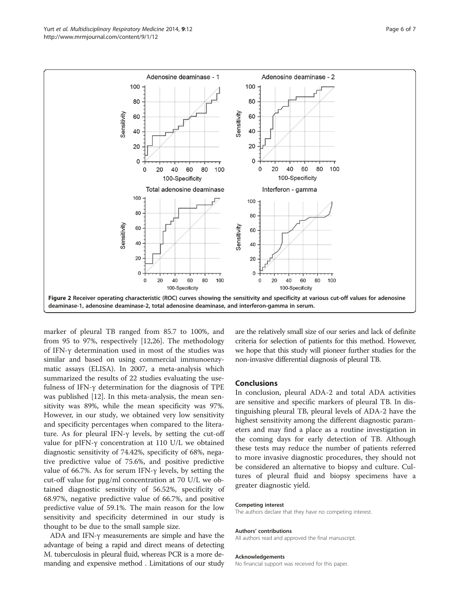<span id="page-5-0"></span>

marker of pleural TB ranged from 85.7 to 100%, and from 95 to 97%, respectively [\[12,26](#page-6-0)]. The methodology of IFN-γ determination used in most of the studies was similar and based on using commercial immunoenzymatic assays (ELISA). In 2007, a meta-analysis which summarized the results of 22 studies evaluating the usefulness of IFN-γ determination for the diagnosis of TPE was published [\[12](#page-6-0)]. In this meta-analysis, the mean sensitivity was 89%, while the mean specificity was 97%. However, in our study, we obtained very low sensitivity and specificity percentages when compared to the literature. As for pleural IFN-γ levels, by setting the cut-off value for pIFN-γ concentration at 110 U/L we obtained diagnostic sensitivity of 74.42%, specificity of 68%, negative predictive value of 75.6%, and positive predictive value of 66.7%. As for serum IFN-γ levels, by setting the cut-off value for pμg/ml concentration at 70 U/L we obtained diagnostic sensitivity of 56.52%, specificity of 68.97%, negative predictive value of 66.7%, and positive predictive value of 59.1%. The main reason for the low sensitivity and specificity determined in our study is thought to be due to the small sample size.

ADA and IFN-γ measurements are simple and have the advantage of being a rapid and direct means of detecting M. tuberculosis in pleural fluid, whereas PCR is a more demanding and expensive method . Limitations of our study

are the relatively small size of our series and lack of definite criteria for selection of patients for this method. However, we hope that this study will pioneer further studies for the non-invasive differential diagnosis of pleural TB.

#### Conclusions

In conclusion, pleural ADA-2 and total ADA activities are sensitive and specific markers of pleural TB. In distinguishing pleural TB, pleural levels of ADA-2 have the highest sensitivity among the different diagnostic parameters and may find a place as a routine investigation in the coming days for early detection of TB. Although these tests may reduce the number of patients referred to more invasive diagnostic procedures, they should not be considered an alternative to biopsy and culture. Cultures of pleural fluid and biopsy specimens have a greater diagnostic yield.

#### Competing interest

The authors declare that they have no competing interest.

#### Authors' contributions

All authors read and approved the final manuscript.

#### Acknowledgements

No financial support was received for this paper.